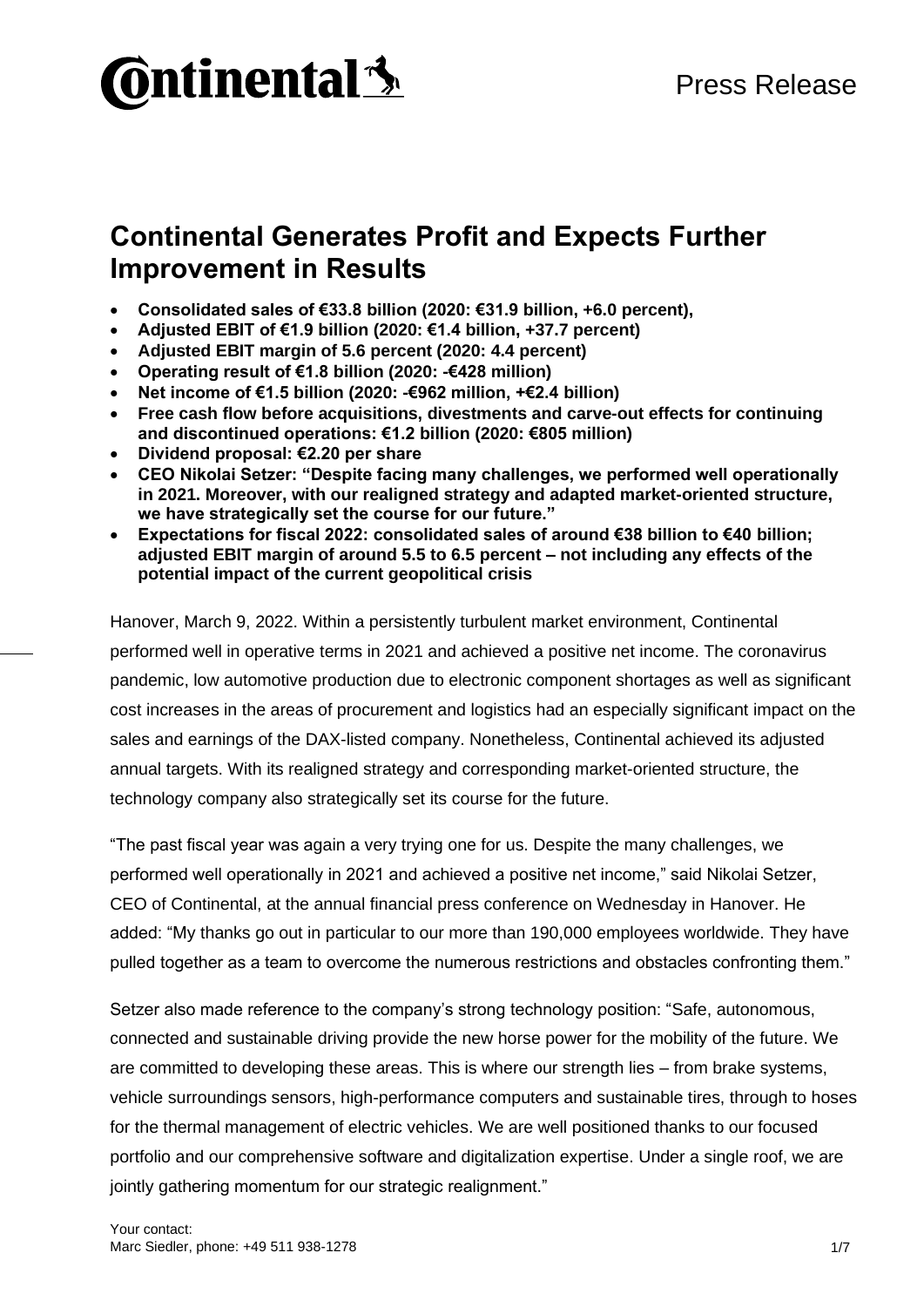

# **Continental Generates Profit and Expects Further Improvement in Results**

- **Consolidated sales of €33.8 billion (2020: €31.9 billion, +6.0 percent),**
- **Adjusted EBIT of €1.9 billion (2020: €1.4 billion, +37.7 percent)**
- **Adjusted EBIT margin of 5.6 percent (2020: 4.4 percent)**
- **Operating result of €1.8 billion (2020: -€428 million)**
- **Net income of €1.5 billion (2020: -€962 million, +€2.4 billion)**
- **Free cash flow before acquisitions, divestments and carve-out effects for continuing and discontinued operations: €1.2 billion (2020: €805 million)**
- **Dividend proposal: €2.20 per share**
- **CEO Nikolai Setzer: "Despite facing many challenges, we performed well operationally in 2021. Moreover, with our realigned strategy and adapted market-oriented structure, we have strategically set the course for our future."**
- **Expectations for fiscal 2022: consolidated sales of around €38 billion to €40 billion; adjusted EBIT margin of around 5.5 to 6.5 percent – not including any effects of the potential impact of the current geopolitical crisis**

Hanover, March 9, 2022. Within a persistently turbulent market environment, Continental performed well in operative terms in 2021 and achieved a positive net income. The coronavirus pandemic, low automotive production due to electronic component shortages as well as significant cost increases in the areas of procurement and logistics had an especially significant impact on the sales and earnings of the DAX-listed company. Nonetheless, Continental achieved its adjusted annual targets. With its realigned strategy and corresponding market-oriented structure, the technology company also strategically set its course for the future.

"The past fiscal year was again a very trying one for us. Despite the many challenges, we performed well operationally in 2021 and achieved a positive net income," said Nikolai Setzer, CEO of Continental, at the annual financial press conference on Wednesday in Hanover. He added: "My thanks go out in particular to our more than 190,000 employees worldwide. They have pulled together as a team to overcome the numerous restrictions and obstacles confronting them."

Setzer also made reference to the company's strong technology position: "Safe, autonomous, connected and sustainable driving provide the new horse power for the mobility of the future. We are committed to developing these areas. This is where our strength lies – from brake systems, vehicle surroundings sensors, high-performance computers and sustainable tires, through to hoses for the thermal management of electric vehicles. We are well positioned thanks to our focused portfolio and our comprehensive software and digitalization expertise. Under a single roof, we are jointly gathering momentum for our strategic realignment."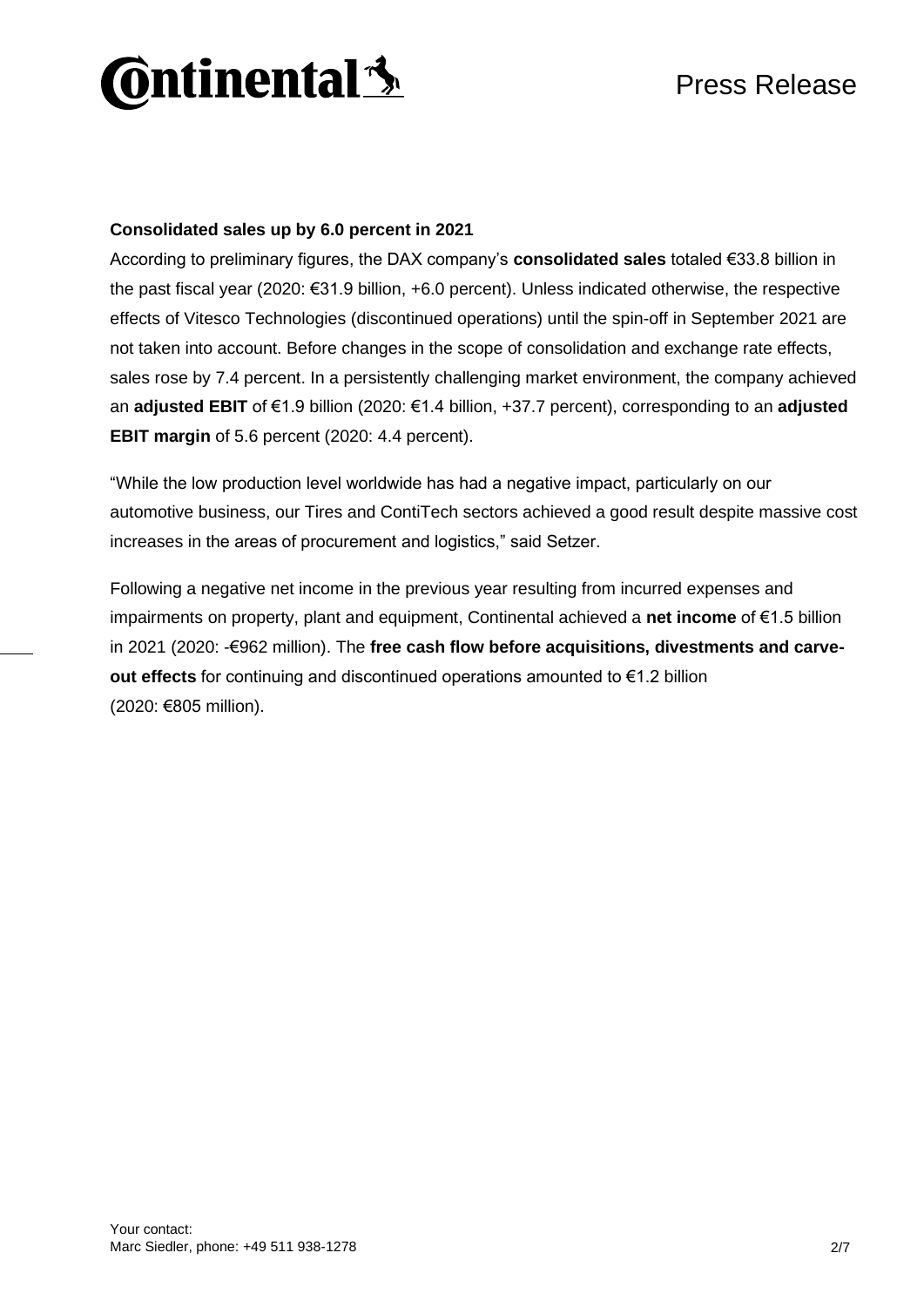

# **Consolidated sales up by 6.0 percent in 2021**

According to preliminary figures, the DAX company's **consolidated sales** totaled €33.8 billion in the past fiscal year (2020: €31.9 billion, +6.0 percent). Unless indicated otherwise, the respective effects of Vitesco Technologies (discontinued operations) until the spin-off in September 2021 are not taken into account. Before changes in the scope of consolidation and exchange rate effects, sales rose by 7.4 percent. In a persistently challenging market environment, the company achieved an **adjusted EBIT** of €1.9 billion (2020: €1.4 billion, +37.7 percent), corresponding to an **adjusted EBIT margin** of 5.6 percent (2020: 4.4 percent).

"While the low production level worldwide has had a negative impact, particularly on our automotive business, our Tires and ContiTech sectors achieved a good result despite massive cost increases in the areas of procurement and logistics," said Setzer.

Following a negative net income in the previous year resulting from incurred expenses and impairments on property, plant and equipment, Continental achieved a **net income** of €1.5 billion in 2021 (2020: -€962 million). The **free cash flow before acquisitions, divestments and carveout effects** for continuing and discontinued operations amounted to €1.2 billion (2020: €805 million).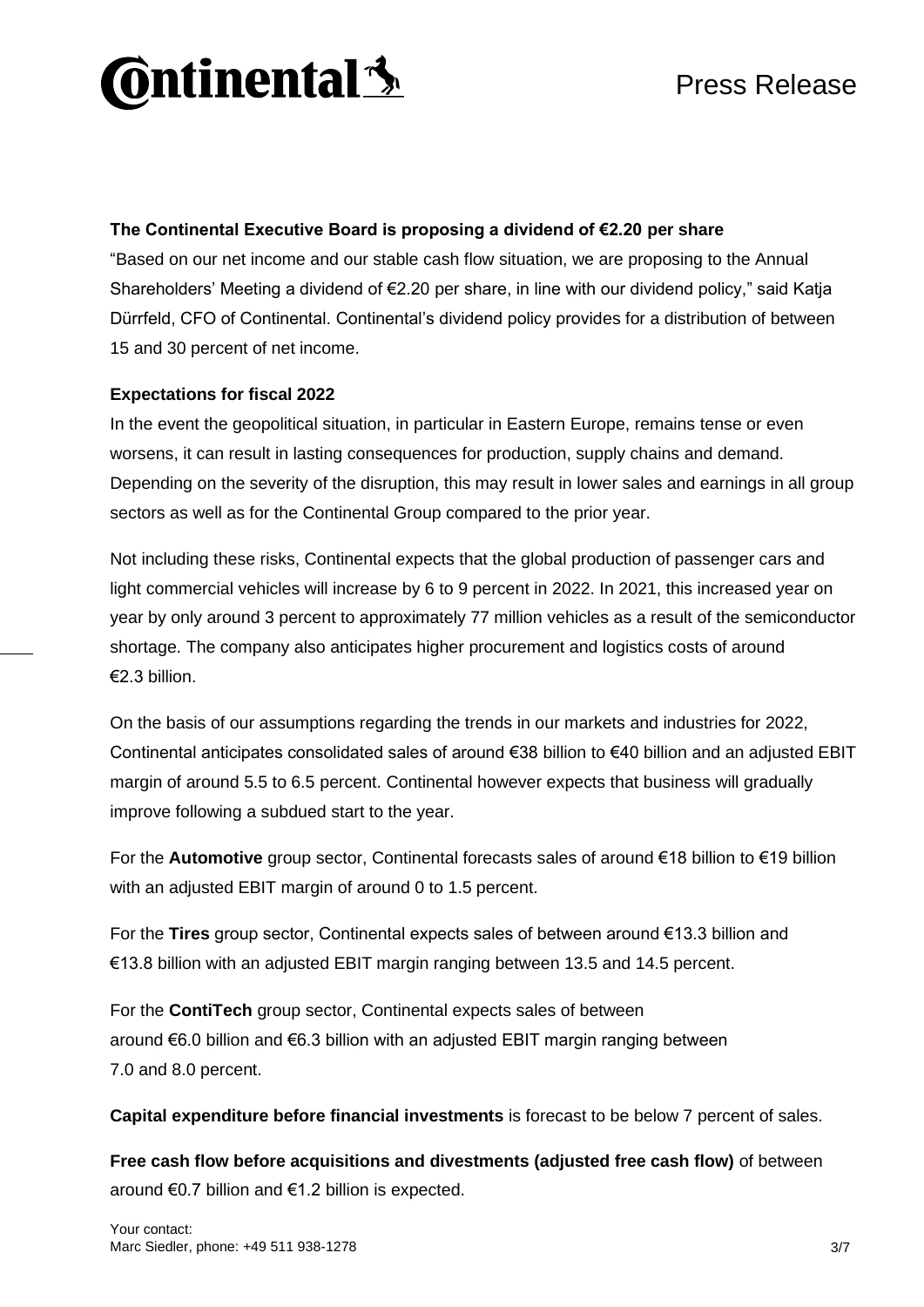

# **The Continental Executive Board is proposing a dividend of €2.20 per share**

"Based on our net income and our stable cash flow situation, we are proposing to the Annual Shareholders' Meeting a dividend of €2.20 per share, in line with our dividend policy," said Katja Dürrfeld, CFO of Continental. Continental's dividend policy provides for a distribution of between 15 and 30 percent of net income.

# **Expectations for fiscal 2022**

In the event the geopolitical situation, in particular in Eastern Europe, remains tense or even worsens, it can result in lasting consequences for production, supply chains and demand. Depending on the severity of the disruption, this may result in lower sales and earnings in all group sectors as well as for the Continental Group compared to the prior year.

Not including these risks, Continental expects that the global production of passenger cars and light commercial vehicles will increase by 6 to 9 percent in 2022. In 2021, this increased year on year by only around 3 percent to approximately 77 million vehicles as a result of the semiconductor shortage. The company also anticipates higher procurement and logistics costs of around €2.3 billion.

On the basis of our assumptions regarding the trends in our markets and industries for 2022, Continental anticipates consolidated sales of around €38 billion to €40 billion and an adjusted EBIT margin of around 5.5 to 6.5 percent. Continental however expects that business will gradually improve following a subdued start to the year.

For the **Automotive** group sector, Continental forecasts sales of around €18 billion to €19 billion with an adjusted EBIT margin of around 0 to 1.5 percent.

For the **Tires** group sector, Continental expects sales of between around €13.3 billion and €13.8 billion with an adjusted EBIT margin ranging between 13.5 and 14.5 percent.

For the **ContiTech** group sector, Continental expects sales of between around €6.0 billion and €6.3 billion with an adjusted EBIT margin ranging between 7.0 and 8.0 percent.

**Capital expenditure before financial investments** is forecast to be below 7 percent of sales.

**Free cash flow before acquisitions and divestments (adjusted free cash flow)** of between around €0.7 billion and €1.2 billion is expected.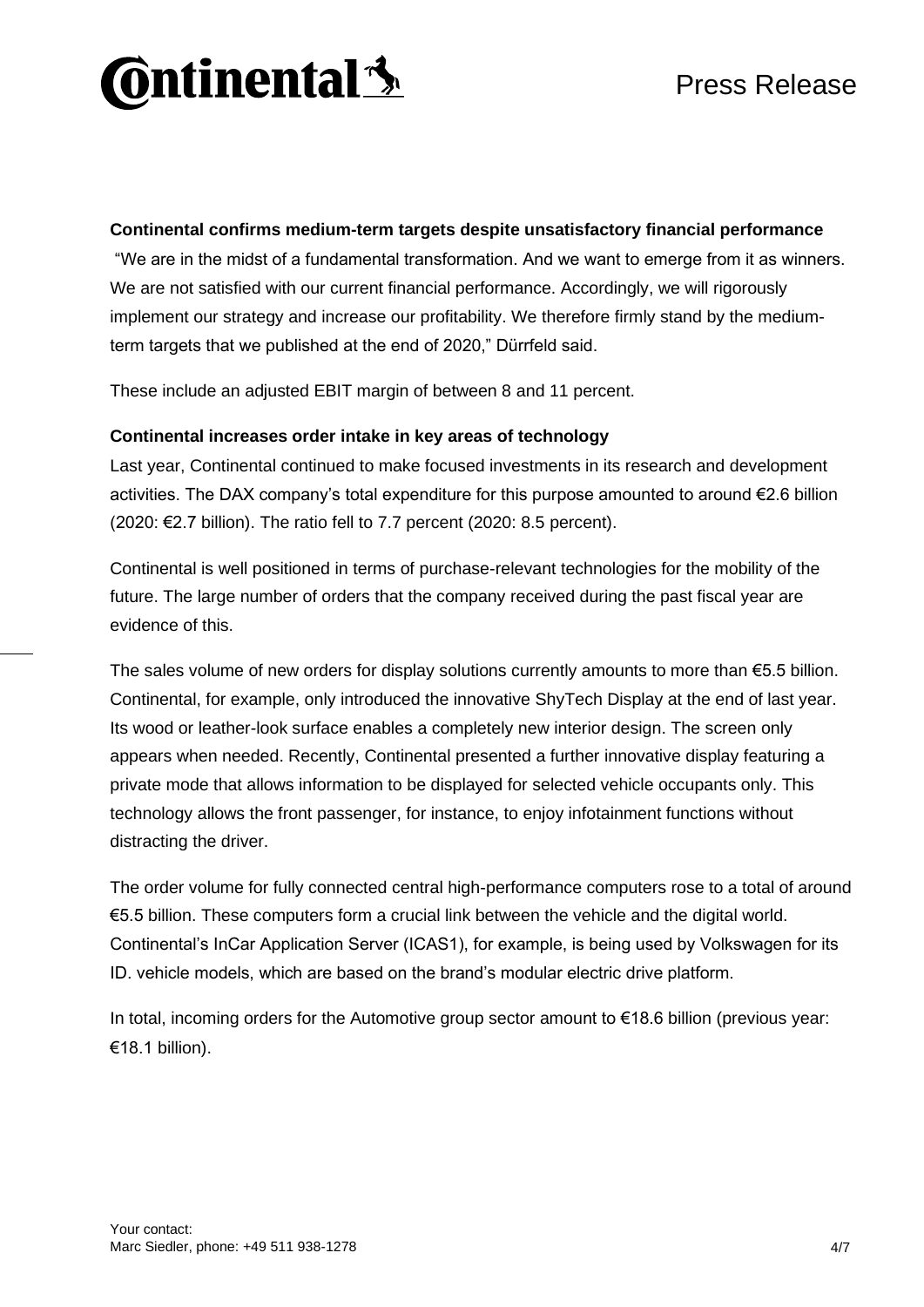

# **Continental confirms medium-term targets despite unsatisfactory financial performance**

"We are in the midst of a fundamental transformation. And we want to emerge from it as winners. We are not satisfied with our current financial performance. Accordingly, we will rigorously implement our strategy and increase our profitability. We therefore firmly stand by the mediumterm targets that we published at the end of 2020," Dürrfeld said.

These include an adjusted EBIT margin of between 8 and 11 percent.

#### **Continental increases order intake in key areas of technology**

Last year, Continental continued to make focused investments in its research and development activities. The DAX company's total expenditure for this purpose amounted to around €2.6 billion  $(2020: E2.7$  billion). The ratio fell to 7.7 percent  $(2020: 8.5$  percent).

Continental is well positioned in terms of purchase-relevant technologies for the mobility of the future. The large number of orders that the company received during the past fiscal year are evidence of this.

The sales volume of new orders for display solutions currently amounts to more than  $65.5$  billion. Continental, for example, only introduced the innovative ShyTech Display at the end of last year. Its wood or leather-look surface enables a completely new interior design. The screen only appears when needed. Recently, Continental presented a further innovative display featuring a private mode that allows information to be displayed for selected vehicle occupants only. This technology allows the front passenger, for instance, to enjoy infotainment functions without distracting the driver.

The order volume for fully connected central high-performance computers rose to a total of around €5.5 billion. These computers form a crucial link between the vehicle and the digital world. Continental's InCar Application Server (ICAS1), for example, is being used by Volkswagen for its ID. vehicle models, which are based on the brand's modular electric drive platform.

In total, incoming orders for the Automotive group sector amount to €18.6 billion (previous year: €18.1 billion).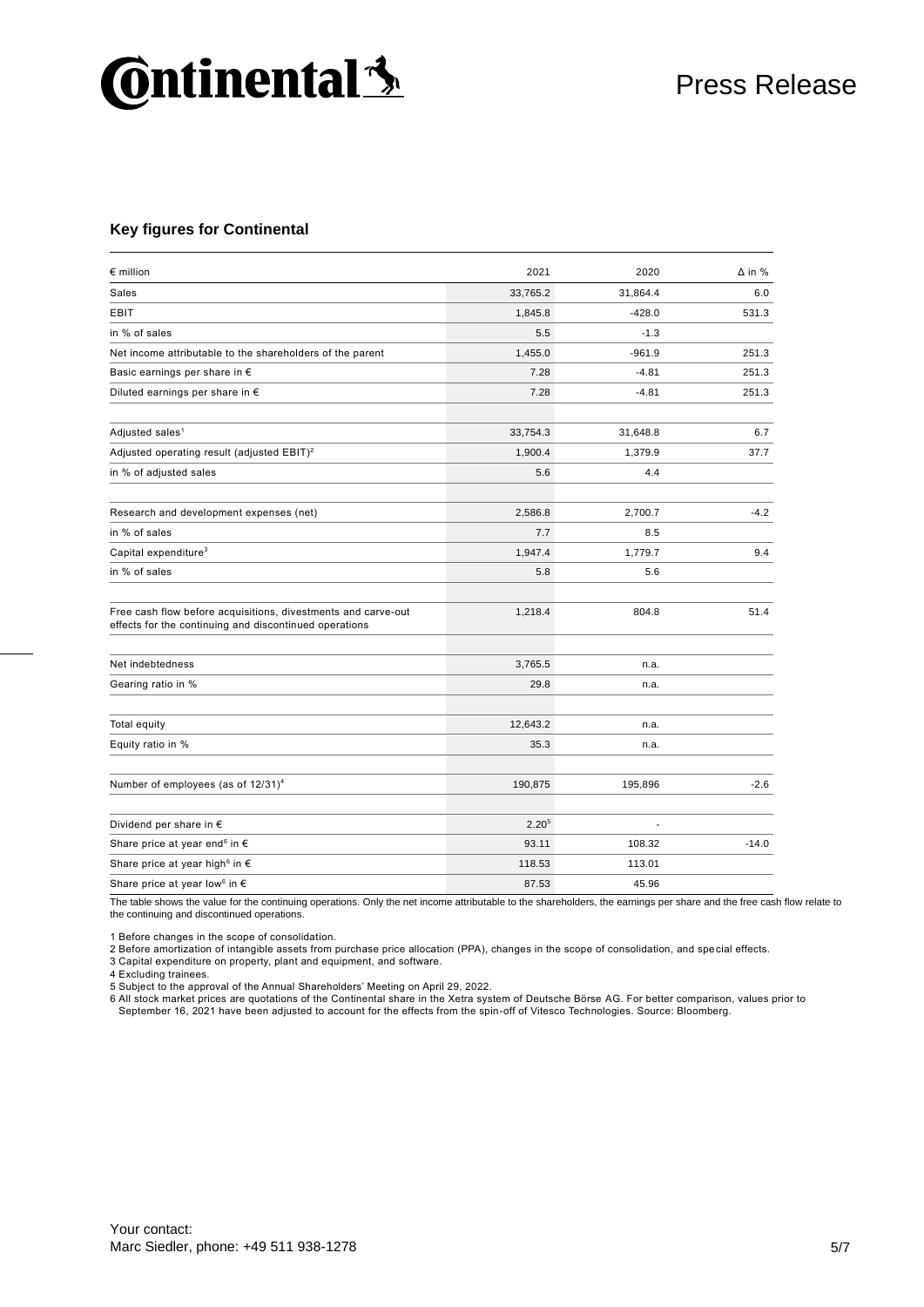# **Continental 3**

#### **Key figures for Continental**

| $\epsilon$ million                                                                                                      | 2021              | 2020     | $\Delta$ in % |
|-------------------------------------------------------------------------------------------------------------------------|-------------------|----------|---------------|
| <b>Sales</b>                                                                                                            | 33,765.2          | 31,864.4 | 6.0           |
| <b>EBIT</b>                                                                                                             | 1,845.8           | $-428.0$ | 531.3         |
| in % of sales                                                                                                           | 5.5               | $-1.3$   |               |
| Net income attributable to the shareholders of the parent                                                               | 1,455.0           | $-961.9$ | 251.3         |
| Basic earnings per share in €                                                                                           | 7.28              | $-4.81$  | 251.3         |
| Diluted earnings per share in $\epsilon$                                                                                | 7.28              | $-4.81$  | 251.3         |
| Adjusted sales <sup>1</sup>                                                                                             | 33,754.3          | 31,648.8 | 6.7           |
| Adjusted operating result (adjusted EBIT) <sup>2</sup>                                                                  | 1,900.4           | 1,379.9  | 37.7          |
| in % of adjusted sales                                                                                                  | 5.6               | 4.4      |               |
| Research and development expenses (net)                                                                                 | 2,586.8           | 2,700.7  | $-4.2$        |
| in % of sales                                                                                                           | 7.7               | 8.5      |               |
| Capital expenditure <sup>3</sup>                                                                                        | 1,947.4           | 1,779.7  | 9.4           |
| in % of sales                                                                                                           | 5.8               | 5.6      |               |
| Free cash flow before acquisitions, divestments and carve-out<br>effects for the continuing and discontinued operations | 1,218.4           | 804.8    | 51.4          |
| Net indebtedness                                                                                                        | 3,765.5           | n.a.     |               |
| Gearing ratio in %                                                                                                      | 29.8              | n.a.     |               |
| Total equity                                                                                                            | 12,643.2          | n.a.     |               |
| Equity ratio in %                                                                                                       | 35.3              | n.a.     |               |
| Number of employees (as of 12/31) <sup>4</sup>                                                                          | 190,875           | 195,896  | $-2.6$        |
| Dividend per share in €                                                                                                 | 2.20 <sup>5</sup> |          |               |
| Share price at year end <sup>6</sup> in $\epsilon$                                                                      | 93.11             | 108.32   | $-14.0$       |
| Share price at year high <sup>6</sup> in $\epsilon$                                                                     | 118.53            | 113.01   |               |
| Share price at year low <sup>6</sup> in $\epsilon$                                                                      | 87.53             | 45.96    |               |

The table shows the value for the continuing operations. Only the net income attributable to the shareholders, the earnings per share and the free cash flow relate to the continuing and discontinued operations.

1 Before changes in the scope of consolidation.

2 Before amortization of intangible assets from purchase price allocation (PPA), changes in the scope of consolidation, and special effects. 3 Capital expenditure on property, plant and equipment, and software.

4 Excluding trainees.

5 Subject to the approval of the Annual Shareholders' Meeting on April 29, 2022.<br>6 All stock market prices are quotations of the Continental share in the Xetra system of Deutsche Börse AG. For better comparison, values pri September 16, 2021 have been adjusted to account for the effects from the spin-off of Vitesco Technologies. Source: Bloomberg.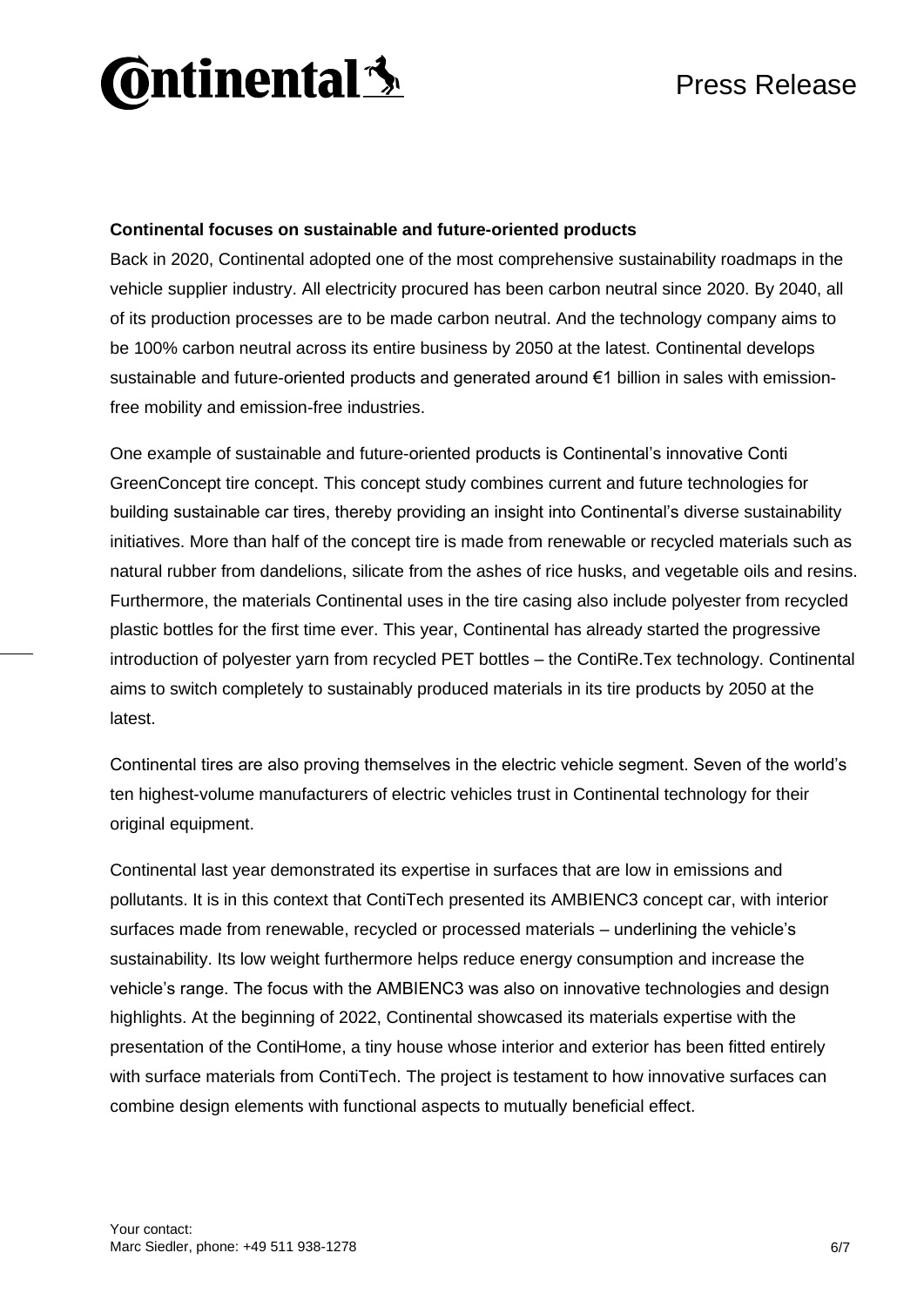

#### **Continental focuses on sustainable and future-oriented products**

Back in 2020, Continental adopted one of the most comprehensive sustainability roadmaps in the vehicle supplier industry. All electricity procured has been carbon neutral since 2020. By 2040, all of its production processes are to be made carbon neutral. And the technology company aims to be 100% carbon neutral across its entire business by 2050 at the latest. Continental develops sustainable and future-oriented products and generated around €1 billion in sales with emissionfree mobility and emission-free industries.

One example of sustainable and future-oriented products is Continental's innovative Conti GreenConcept tire concept. This concept study combines current and future technologies for building sustainable car tires, thereby providing an insight into Continental's diverse sustainability initiatives. More than half of the concept tire is made from renewable or recycled materials such as natural rubber from dandelions, silicate from the ashes of rice husks, and vegetable oils and resins. Furthermore, the materials Continental uses in the tire casing also include polyester from recycled plastic bottles for the first time ever. This year, Continental has already started the progressive introduction of polyester yarn from recycled PET bottles – the ContiRe.Tex technology. Continental aims to switch completely to sustainably produced materials in its tire products by 2050 at the latest.

Continental tires are also proving themselves in the electric vehicle segment. Seven of the world's ten highest-volume manufacturers of electric vehicles trust in Continental technology for their original equipment.

Continental last year demonstrated its expertise in surfaces that are low in emissions and pollutants. It is in this context that ContiTech presented its AMBIENC3 concept car, with interior surfaces made from renewable, recycled or processed materials – underlining the vehicle's sustainability. Its low weight furthermore helps reduce energy consumption and increase the vehicle's range. The focus with the AMBIENC3 was also on innovative technologies and design highlights. At the beginning of 2022, Continental showcased its materials expertise with the presentation of the ContiHome, a tiny house whose interior and exterior has been fitted entirely with surface materials from ContiTech. The project is testament to how innovative surfaces can combine design elements with functional aspects to mutually beneficial effect.